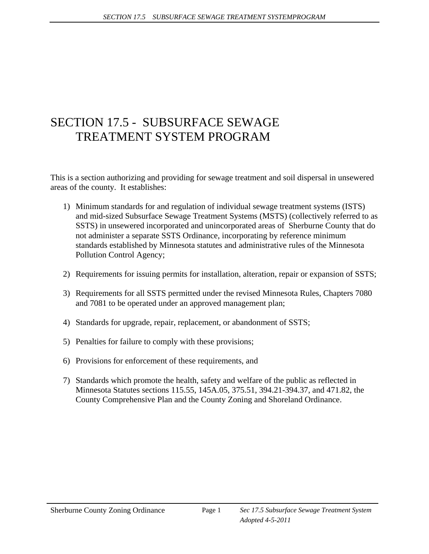# SECTION 17.5 - SUBSURFACE SEWAGE TREATMENT SYSTEM PROGRAM

This is a section authorizing and providing for sewage treatment and soil dispersal in unsewered areas of the county. It establishes:

- 1) Minimum standards for and regulation of individual sewage treatment systems (ISTS) and mid-sized Subsurface Sewage Treatment Systems (MSTS) (collectively referred to as SSTS) in unsewered incorporated and unincorporated areas of Sherburne County that do not administer a separate SSTS Ordinance, incorporating by reference minimum standards established by Minnesota statutes and administrative rules of the Minnesota Pollution Control Agency;
- 2) Requirements for issuing permits for installation, alteration, repair or expansion of SSTS;
- 3) Requirements for all SSTS permitted under the revised Minnesota Rules, Chapters 7080 and 7081 to be operated under an approved management plan;
- 4) Standards for upgrade, repair, replacement, or abandonment of SSTS;
- 5) Penalties for failure to comply with these provisions;
- 6) Provisions for enforcement of these requirements, and
- 7) Standards which promote the health, safety and welfare of the public as reflected in Minnesota Statutes sections 115.55, 145A.05, 375.51, 394.21-394.37, and 471.82, the County Comprehensive Plan and the County Zoning and Shoreland Ordinance.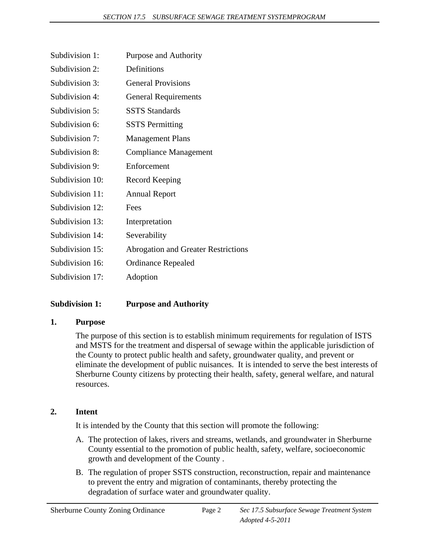| Subdivision 1:  | Purpose and Authority                      |
|-----------------|--------------------------------------------|
| Subdivision 2:  | Definitions                                |
| Subdivision 3:  | <b>General Provisions</b>                  |
| Subdivision 4:  | <b>General Requirements</b>                |
| Subdivision 5:  | <b>SSTS</b> Standards                      |
| Subdivision 6:  | <b>SSTS</b> Permitting                     |
| Subdivision 7:  | <b>Management Plans</b>                    |
| Subdivision 8:  | Compliance Management                      |
| Subdivision 9:  | Enforcement                                |
| Subdivision 10: | Record Keeping                             |
| Subdivision 11: | <b>Annual Report</b>                       |
| Subdivision 12: | Fees                                       |
| Subdivision 13: | Interpretation                             |
| Subdivision 14: | Severability                               |
| Subdivision 15: | <b>Abrogation and Greater Restrictions</b> |
| Subdivision 16: | <b>Ordinance Repealed</b>                  |
| Subdivision 17: | Adoption                                   |

# **Subdivision 1: Purpose and Authority**

#### **1. Purpose**

The purpose of this section is to establish minimum requirements for regulation of ISTS and MSTS for the treatment and dispersal of sewage within the applicable jurisdiction of the County to protect public health and safety, groundwater quality, and prevent or eliminate the development of public nuisances. It is intended to serve the best interests of Sherburne County citizens by protecting their health, safety, general welfare, and natural resources.

# **2. Intent**

It is intended by the County that this section will promote the following:

- A. The protection of lakes, rivers and streams, wetlands, and groundwater in Sherburne County essential to the promotion of public health, safety, welfare, socioeconomic growth and development of the County .
- B. The regulation of proper SSTS construction, reconstruction, repair and maintenance to prevent the entry and migration of contaminants, thereby protecting the degradation of surface water and groundwater quality.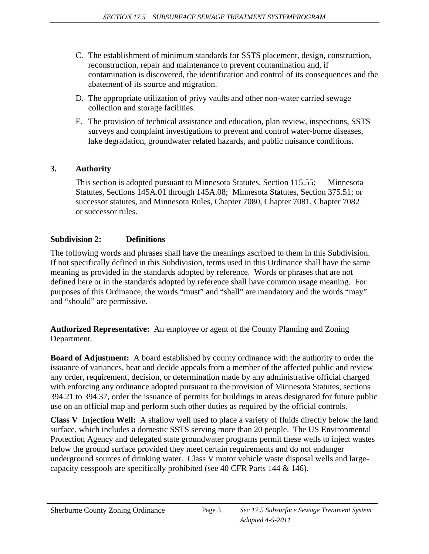- C. The establishment of minimum standards for SSTS placement, design, construction, reconstruction, repair and maintenance to prevent contamination and, if contamination is discovered, the identification and control of its consequences and the abatement of its source and migration.
- D. The appropriate utilization of privy vaults and other non-water carried sewage collection and storage facilities.
- E. The provision of technical assistance and education, plan review, inspections, SSTS surveys and complaint investigations to prevent and control water-borne diseases, lake degradation, groundwater related hazards, and public nuisance conditions.

# **3. Authority**

 This section is adopted pursuant to Minnesota Statutes, Section 115.55; Minnesota Statutes, Sections 145A.01 through 145A.08; Minnesota Statutes, Section 375.51; or successor statutes, and Minnesota Rules, Chapter 7080, Chapter 7081, Chapter 7082 or successor rules.

# **Subdivision 2: Definitions**

The following words and phrases shall have the meanings ascribed to them in this Subdivision. If not specifically defined in this Subdivision, terms used in this Ordinance shall have the same meaning as provided in the standards adopted by reference. Words or phrases that are not defined here or in the standards adopted by reference shall have common usage meaning. For purposes of this Ordinance, the words "must" and "shall" are mandatory and the words "may" and "should" are permissive.

**Authorized Representative:** An employee or agent of the County Planning and Zoning Department.

**Board of Adjustment:** A board established by county ordinance with the authority to order the issuance of variances, hear and decide appeals from a member of the affected public and review any order, requirement, decision, or determination made by any administrative official charged with enforcing any ordinance adopted pursuant to the provision of Minnesota Statutes, sections 394.21 to 394.37, order the issuance of permits for buildings in areas designated for future public use on an official map and perform such other duties as required by the official controls.

**Class V Injection Well:** A shallow well used to place a variety of fluids directly below the land surface, which includes a domestic SSTS serving more than 20 people. The US Environmental Protection Agency and delegated state groundwater programs permit these wells to inject wastes below the ground surface provided they meet certain requirements and do not endanger underground sources of drinking water. Class V motor vehicle waste disposal wells and largecapacity cesspools are specifically prohibited (see 40 CFR Parts 144 & 146).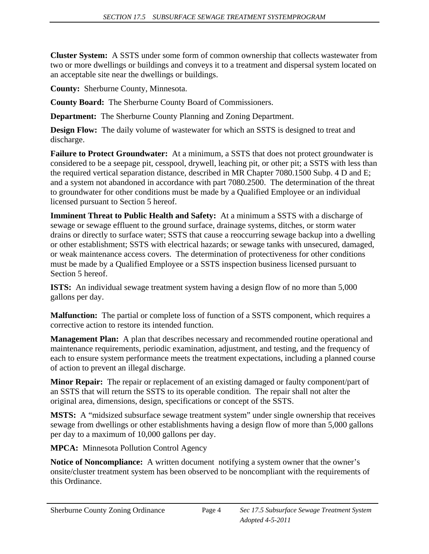**Cluster System:** A SSTS under some form of common ownership that collects wastewater from two or more dwellings or buildings and conveys it to a treatment and dispersal system located on an acceptable site near the dwellings or buildings.

**County:** Sherburne County, Minnesota.

**County Board:** The Sherburne County Board of Commissioners.

**Department:** The Sherburne County Planning and Zoning Department.

**Design Flow:** The daily volume of wastewater for which an SSTS is designed to treat and discharge.

**Failure to Protect Groundwater:** At a minimum, a SSTS that does not protect groundwater is considered to be a seepage pit, cesspool, drywell, leaching pit, or other pit; a SSTS with less than the required vertical separation distance, described in MR Chapter 7080.1500 Subp. 4 D and E; and a system not abandoned in accordance with part 7080.2500. The determination of the threat to groundwater for other conditions must be made by a Qualified Employee or an individual licensed pursuant to Section 5 hereof.

**Imminent Threat to Public Health and Safety:** At a minimum a SSTS with a discharge of sewage or sewage effluent to the ground surface, drainage systems, ditches, or storm water drains or directly to surface water; SSTS that cause a reoccurring sewage backup into a dwelling or other establishment; SSTS with electrical hazards; or sewage tanks with unsecured, damaged, or weak maintenance access covers. The determination of protectiveness for other conditions must be made by a Qualified Employee or a SSTS inspection business licensed pursuant to Section 5 hereof.

**ISTS:** An individual sewage treatment system having a design flow of no more than 5,000 gallons per day.

**Malfunction:** The partial or complete loss of function of a SSTS component, which requires a corrective action to restore its intended function.

**Management Plan:** A plan that describes necessary and recommended routine operational and maintenance requirements, periodic examination, adjustment, and testing, and the frequency of each to ensure system performance meets the treatment expectations, including a planned course of action to prevent an illegal discharge.

**Minor Repair:** The repair or replacement of an existing damaged or faulty component/part of an SSTS that will return the SSTS to its operable condition. The repair shall not alter the original area, dimensions, design, specifications or concept of the SSTS.

**MSTS:** A "midsized subsurface sewage treatment system" under single ownership that receives sewage from dwellings or other establishments having a design flow of more than 5,000 gallons per day to a maximum of 10,000 gallons per day.

**MPCA:** Minnesota Pollution Control Agency

**Notice of Noncompliance:** A written document notifying a system owner that the owner's onsite/cluster treatment system has been observed to be noncompliant with the requirements of this Ordinance.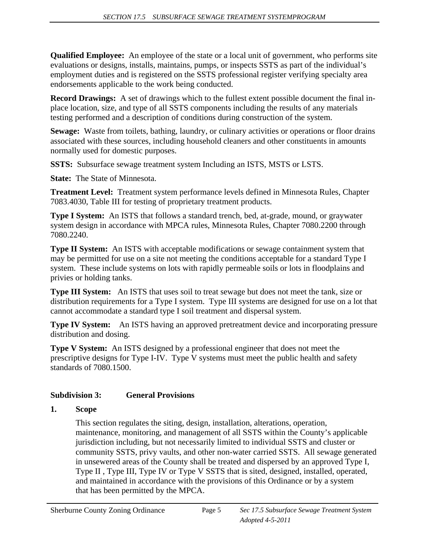**Qualified Employee:** An employee of the state or a local unit of government, who performs site evaluations or designs, installs, maintains, pumps, or inspects SSTS as part of the individual's employment duties and is registered on the SSTS professional register verifying specialty area endorsements applicable to the work being conducted.

**Record Drawings:** A set of drawings which to the fullest extent possible document the final inplace location, size, and type of all SSTS components including the results of any materials testing performed and a description of conditions during construction of the system.

**Sewage:** Waste from toilets, bathing, laundry, or culinary activities or operations or floor drains associated with these sources, including household cleaners and other constituents in amounts normally used for domestic purposes.

**SSTS:** Subsurface sewage treatment system Including an ISTS, MSTS or LSTS.

**State:** The State of Minnesota.

**Treatment Level:** Treatment system performance levels defined in Minnesota Rules, Chapter 7083.4030, Table III for testing of proprietary treatment products.

**Type I System:** An ISTS that follows a standard trench, bed, at-grade, mound, or graywater system design in accordance with MPCA rules, Minnesota Rules, Chapter 7080.2200 through 7080.2240.

**Type II System:** An ISTS with acceptable modifications or sewage containment system that may be permitted for use on a site not meeting the conditions acceptable for a standard Type I system. These include systems on lots with rapidly permeable soils or lots in floodplains and privies or holding tanks.

**Type III System:** An ISTS that uses soil to treat sewage but does not meet the tank, size or distribution requirements for a Type I system. Type III systems are designed for use on a lot that cannot accommodate a standard type I soil treatment and dispersal system.

**Type IV System:** An ISTS having an approved pretreatment device and incorporating pressure distribution and dosing.

**Type V System:** An ISTS designed by a professional engineer that does not meet the prescriptive designs for Type I-IV. Type V systems must meet the public health and safety standards of 7080.1500.

# **Subdivision 3: General Provisions**

# **1. Scope**

 This section regulates the siting, design, installation, alterations, operation, maintenance, monitoring, and management of all SSTS within the County's applicable jurisdiction including, but not necessarily limited to individual SSTS and cluster or community SSTS, privy vaults, and other non-water carried SSTS. All sewage generated in unsewered areas of the County shall be treated and dispersed by an approved Type I, Type II , Type III, Type IV or Type V SSTS that is sited, designed, installed, operated, and maintained in accordance with the provisions of this Ordinance or by a system that has been permitted by the MPCA.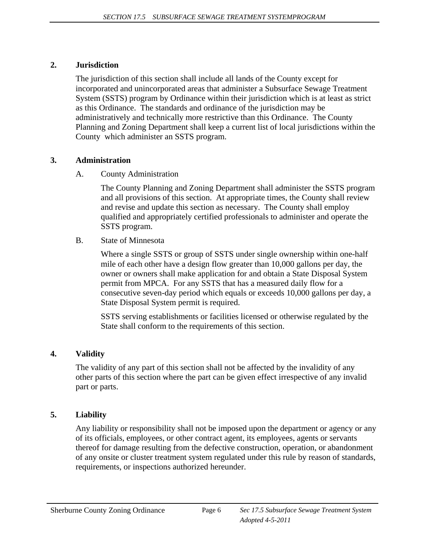#### **2. Jurisdiction**

 The jurisdiction of this section shall include all lands of the County except for incorporated and unincorporated areas that administer a Subsurface Sewage Treatment System (SSTS) program by Ordinance within their jurisdiction which is at least as strict as this Ordinance. The standards and ordinance of the jurisdiction may be administratively and technically more restrictive than this Ordinance. The County Planning and Zoning Department shall keep a current list of local jurisdictions within the County which administer an SSTS program.

# **3. Administration**

# A. County Administration

 The County Planning and Zoning Department shall administer the SSTS program and all provisions of this section. At appropriate times, the County shall review and revise and update this section as necessary. The County shall employ qualified and appropriately certified professionals to administer and operate the SSTS program.

B. State of Minnesota

 Where a single SSTS or group of SSTS under single ownership within one-half mile of each other have a design flow greater than 10,000 gallons per day, the owner or owners shall make application for and obtain a State Disposal System permit from MPCA. For any SSTS that has a measured daily flow for a consecutive seven-day period which equals or exceeds 10,000 gallons per day, a State Disposal System permit is required.

 SSTS serving establishments or facilities licensed or otherwise regulated by the State shall conform to the requirements of this section.

# **4. Validity**

 The validity of any part of this section shall not be affected by the invalidity of any other parts of this section where the part can be given effect irrespective of any invalid part or parts.

# **5. Liability**

 Any liability or responsibility shall not be imposed upon the department or agency or any of its officials, employees, or other contract agent, its employees, agents or servants thereof for damage resulting from the defective construction, operation, or abandonment of any onsite or cluster treatment system regulated under this rule by reason of standards, requirements, or inspections authorized hereunder.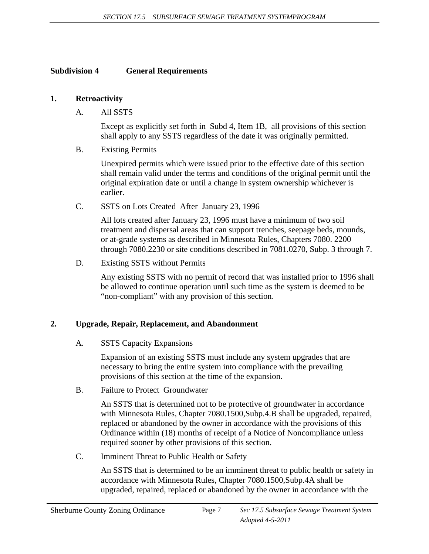#### **Subdivision 4 General Requirements**

#### **1. Retroactivity**

A. All SSTS

 Except as explicitly set forth in Subd 4, Item 1B, all provisions of this section shall apply to any SSTS regardless of the date it was originally permitted.

B. Existing Permits

 Unexpired permits which were issued prior to the effective date of this section shall remain valid under the terms and conditions of the original permit until the original expiration date or until a change in system ownership whichever is earlier.

C. SSTS on Lots Created After January 23, 1996

 All lots created after January 23, 1996 must have a minimum of two soil treatment and dispersal areas that can support trenches, seepage beds, mounds, or at-grade systems as described in Minnesota Rules, Chapters 7080. 2200 through 7080.2230 or site conditions described in 7081.0270, Subp. 3 through 7.

D. Existing SSTS without Permits

 Any existing SSTS with no permit of record that was installed prior to 1996 shall be allowed to continue operation until such time as the system is deemed to be "non-compliant" with any provision of this section.

#### **2. Upgrade, Repair, Replacement, and Abandonment**

A. SSTS Capacity Expansions

 Expansion of an existing SSTS must include any system upgrades that are necessary to bring the entire system into compliance with the prevailing provisions of this section at the time of the expansion.

B. Failure to Protect Groundwater

 An SSTS that is determined not to be protective of groundwater in accordance with Minnesota Rules, Chapter 7080.1500,Subp.4.B shall be upgraded, repaired, replaced or abandoned by the owner in accordance with the provisions of this Ordinance within (18) months of receipt of a Notice of Noncompliance unless required sooner by other provisions of this section.

C. Imminent Threat to Public Health or Safety

 An SSTS that is determined to be an imminent threat to public health or safety in accordance with Minnesota Rules, Chapter 7080.1500,Subp.4A shall be upgraded, repaired, replaced or abandoned by the owner in accordance with the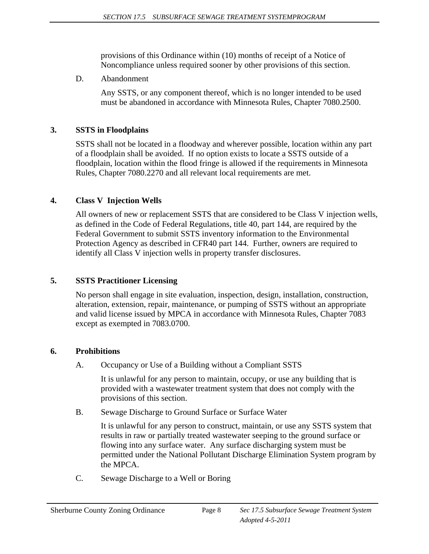provisions of this Ordinance within (10) months of receipt of a Notice of Noncompliance unless required sooner by other provisions of this section.

D. Abandonment

 Any SSTS, or any component thereof, which is no longer intended to be used must be abandoned in accordance with Minnesota Rules, Chapter 7080.2500.

# **3. SSTS in Floodplains**

 SSTS shall not be located in a floodway and wherever possible, location within any part of a floodplain shall be avoided. If no option exists to locate a SSTS outside of a floodplain, location within the flood fringe is allowed if the requirements in Minnesota Rules, Chapter 7080.2270 and all relevant local requirements are met.

# **4. Class V Injection Wells**

 All owners of new or replacement SSTS that are considered to be Class V injection wells, as defined in the Code of Federal Regulations, title 40, part 144, are required by the Federal Government to submit SSTS inventory information to the Environmental Protection Agency as described in CFR40 part 144. Further, owners are required to identify all Class V injection wells in property transfer disclosures.

# **5. SSTS Practitioner Licensing**

 No person shall engage in site evaluation, inspection, design, installation, construction, alteration, extension, repair, maintenance, or pumping of SSTS without an appropriate and valid license issued by MPCA in accordance with Minnesota Rules, Chapter 7083 except as exempted in 7083.0700.

# **6. Prohibitions**

A. Occupancy or Use of a Building without a Compliant SSTS

 It is unlawful for any person to maintain, occupy, or use any building that is provided with a wastewater treatment system that does not comply with the provisions of this section.

B. Sewage Discharge to Ground Surface or Surface Water

 It is unlawful for any person to construct, maintain, or use any SSTS system that results in raw or partially treated wastewater seeping to the ground surface or flowing into any surface water. Any surface discharging system must be permitted under the National Pollutant Discharge Elimination System program by the MPCA.

C. Sewage Discharge to a Well or Boring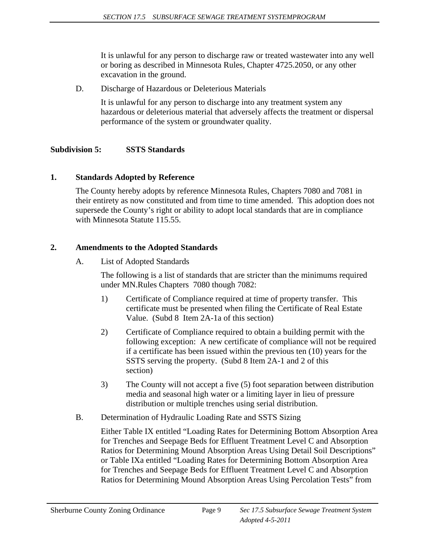It is unlawful for any person to discharge raw or treated wastewater into any well or boring as described in Minnesota Rules, Chapter 4725.2050, or any other excavation in the ground.

D. Discharge of Hazardous or Deleterious Materials

 It is unlawful for any person to discharge into any treatment system any hazardous or deleterious material that adversely affects the treatment or dispersal performance of the system or groundwater quality.

#### **Subdivision 5: SSTS Standards**

#### **1. Standards Adopted by Reference**

 The County hereby adopts by reference Minnesota Rules, Chapters 7080 and 7081 in their entirety as now constituted and from time to time amended. This adoption does not supersede the County's right or ability to adopt local standards that are in compliance with Minnesota Statute 115.55.

#### **2. Amendments to the Adopted Standards**

A. List of Adopted Standards

The following is a list of standards that are stricter than the minimums required under MN.Rules Chapters 7080 though 7082:

- 1) Certificate of Compliance required at time of property transfer. This certificate must be presented when filing the Certificate of Real Estate Value. (Subd 8 Item 2A-1a of this section)
- 2) Certificate of Compliance required to obtain a building permit with the following exception: A new certificate of compliance will not be required if a certificate has been issued within the previous ten (10) years for the SSTS serving the property. (Subd 8 Item 2A-1 and 2 of this section)
- 3) The County will not accept a five (5) foot separation between distribution media and seasonal high water or a limiting layer in lieu of pressure distribution or multiple trenches using serial distribution.
- B. Determination of Hydraulic Loading Rate and SSTS Sizing

 Either Table IX entitled "Loading Rates for Determining Bottom Absorption Area for Trenches and Seepage Beds for Effluent Treatment Level C and Absorption Ratios for Determining Mound Absorption Areas Using Detail Soil Descriptions" or Table IXa entitled "Loading Rates for Determining Bottom Absorption Area for Trenches and Seepage Beds for Effluent Treatment Level C and Absorption Ratios for Determining Mound Absorption Areas Using Percolation Tests" from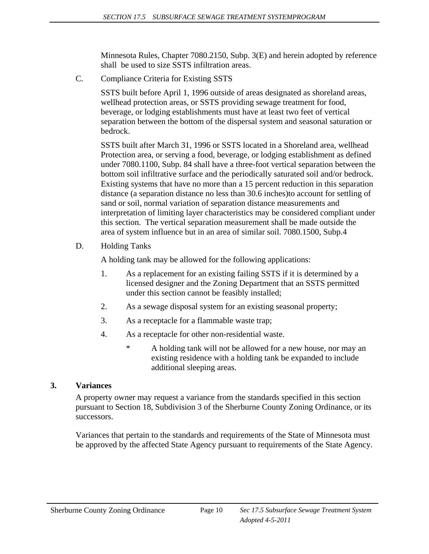Minnesota Rules, Chapter 7080.2150, Subp. 3(E) and herein adopted by reference shall be used to size SSTS infiltration areas.

C. Compliance Criteria for Existing SSTS

 SSTS built before April 1, 1996 outside of areas designated as shoreland areas, wellhead protection areas, or SSTS providing sewage treatment for food, beverage, or lodging establishments must have at least two feet of vertical separation between the bottom of the dispersal system and seasonal saturation or bedrock.

SSTS built after March 31, 1996 or SSTS located in a Shoreland area, wellhead Protection area, or serving a food, beverage, or lodging establishment as defined under 7080.1100, Subp. 84 shall have a three-foot vertical separation between the bottom soil infiltrative surface and the periodically saturated soil and/or bedrock. Existing systems that have no more than a 15 percent reduction in this separation distance (a separation distance no less than 30.6 inches)to account for settling of sand or soil, normal variation of separation distance measurements and interpretation of limiting layer characteristics may be considered compliant under this section. The vertical separation measurement shall be made outside the area of system influence but in an area of similar soil. 7080.1500, Subp.4

D. Holding Tanks

A holding tank may be allowed for the following applications:

- 1. As a replacement for an existing failing SSTS if it is determined by a licensed designer and the Zoning Department that an SSTS permitted under this section cannot be feasibly installed;
- 2. As a sewage disposal system for an existing seasonal property;
- 3. As a receptacle for a flammable waste trap;
- 4. As a receptacle for other non-residential waste.
	- \* A holding tank will not be allowed for a new house, nor may an existing residence with a holding tank be expanded to include additional sleeping areas.

#### **3. Variances**

A property owner may request a variance from the standards specified in this section pursuant to Section 18, Subdivision 3 of the Sherburne County Zoning Ordinance, or its successors.

Variances that pertain to the standards and requirements of the State of Minnesota must be approved by the affected State Agency pursuant to requirements of the State Agency.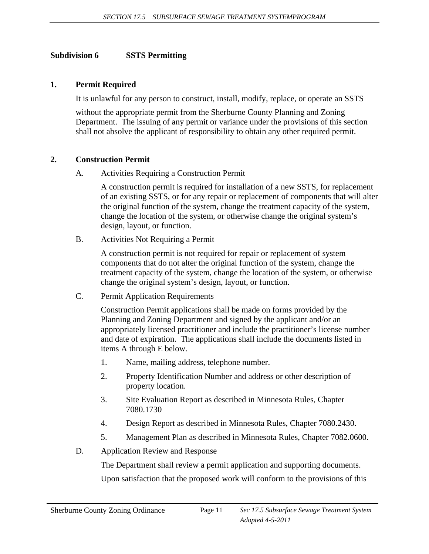#### **Subdivision 6 SSTS Permitting**

#### **1. Permit Required**

It is unlawful for any person to construct, install, modify, replace, or operate an SSTS

 without the appropriate permit from the Sherburne County Planning and Zoning Department. The issuing of any permit or variance under the provisions of this section shall not absolve the applicant of responsibility to obtain any other required permit.

#### **2. Construction Permit**

A. Activities Requiring a Construction Permit

 A construction permit is required for installation of a new SSTS, for replacement of an existing SSTS, or for any repair or replacement of components that will alter the original function of the system, change the treatment capacity of the system, change the location of the system, or otherwise change the original system's design, layout, or function.

B. Activities Not Requiring a Permit

 A construction permit is not required for repair or replacement of system components that do not alter the original function of the system, change the treatment capacity of the system, change the location of the system, or otherwise change the original system's design, layout, or function.

C. Permit Application Requirements

 Construction Permit applications shall be made on forms provided by the Planning and Zoning Department and signed by the applicant and/or an appropriately licensed practitioner and include the practitioner's license number and date of expiration. The applications shall include the documents listed in items A through E below.

- 1. Name, mailing address, telephone number.
- 2. Property Identification Number and address or other description of property location.
- 3. Site Evaluation Report as described in Minnesota Rules, Chapter 7080.1730
- 4. Design Report as described in Minnesota Rules, Chapter 7080.2430.
- 5. Management Plan as described in Minnesota Rules, Chapter 7082.0600.
- D. Application Review and Response

The Department shall review a permit application and supporting documents.

Upon satisfaction that the proposed work will conform to the provisions of this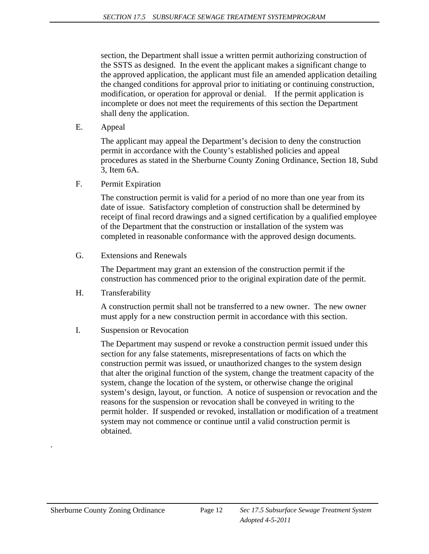section, the Department shall issue a written permit authorizing construction of the SSTS as designed. In the event the applicant makes a significant change to the approved application, the applicant must file an amended application detailing the changed conditions for approval prior to initiating or continuing construction, modification, or operation for approval or denial. If the permit application is incomplete or does not meet the requirements of this section the Department shall deny the application.

E. Appeal

 The applicant may appeal the Department's decision to deny the construction permit in accordance with the County's established policies and appeal procedures as stated in the Sherburne County Zoning Ordinance, Section 18, Subd 3, Item 6A.

F. Permit Expiration

 The construction permit is valid for a period of no more than one year from its date of issue. Satisfactory completion of construction shall be determined by receipt of final record drawings and a signed certification by a qualified employee of the Department that the construction or installation of the system was completed in reasonable conformance with the approved design documents.

G. Extensions and Renewals

 The Department may grant an extension of the construction permit if the construction has commenced prior to the original expiration date of the permit.

H. Transferability

 A construction permit shall not be transferred to a new owner. The new owner must apply for a new construction permit in accordance with this section.

I. Suspension or Revocation

 The Department may suspend or revoke a construction permit issued under this section for any false statements, misrepresentations of facts on which the construction permit was issued, or unauthorized changes to the system design that alter the original function of the system, change the treatment capacity of the system, change the location of the system, or otherwise change the original system's design, layout, or function. A notice of suspension or revocation and the reasons for the suspension or revocation shall be conveyed in writing to the permit holder. If suspended or revoked, installation or modification of a treatment system may not commence or continue until a valid construction permit is obtained.

.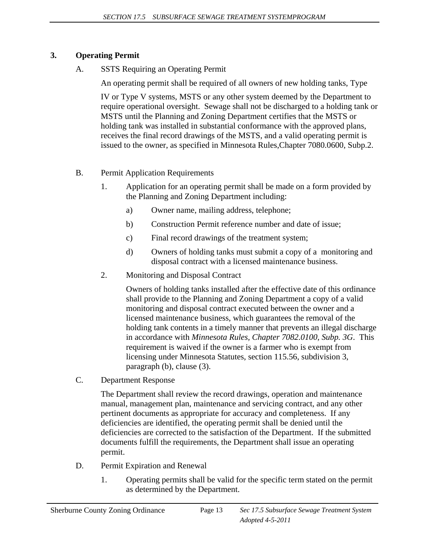# **3. Operating Permit**

A. SSTS Requiring an Operating Permit

An operating permit shall be required of all owners of new holding tanks, Type

 IV or Type V systems, MSTS or any other system deemed by the Department to require operational oversight. Sewage shall not be discharged to a holding tank or MSTS until the Planning and Zoning Department certifies that the MSTS or holding tank was installed in substantial conformance with the approved plans, receives the final record drawings of the MSTS, and a valid operating permit is issued to the owner, as specified in Minnesota Rules,Chapter 7080.0600, Subp.2.

- B. Permit Application Requirements
	- 1. Application for an operating permit shall be made on a form provided by the Planning and Zoning Department including:
		- a) Owner name, mailing address, telephone;
		- b) Construction Permit reference number and date of issue;
		- c) Final record drawings of the treatment system;
		- d) Owners of holding tanks must submit a copy of a monitoring and disposal contract with a licensed maintenance business.
	- 2. Monitoring and Disposal Contract

 Owners of holding tanks installed after the effective date of this ordinance shall provide to the Planning and Zoning Department a copy of a valid monitoring and disposal contract executed between the owner and a licensed maintenance business, which guarantees the removal of the holding tank contents in a timely manner that prevents an illegal discharge in accordance with *Minnesota Rules, Chapter 7082.0100, Subp. 3G*. This requirement is waived if the owner is a farmer who is exempt from licensing under Minnesota Statutes, section 115.56, subdivision 3, paragraph (b), clause (3).

C. Department Response

 The Department shall review the record drawings, operation and maintenance manual, management plan, maintenance and servicing contract, and any other pertinent documents as appropriate for accuracy and completeness. If any deficiencies are identified, the operating permit shall be denied until the deficiencies are corrected to the satisfaction of the Department. If the submitted documents fulfill the requirements, the Department shall issue an operating permit.

- D. Permit Expiration and Renewal
	- 1. Operating permits shall be valid for the specific term stated on the permit as determined by the Department.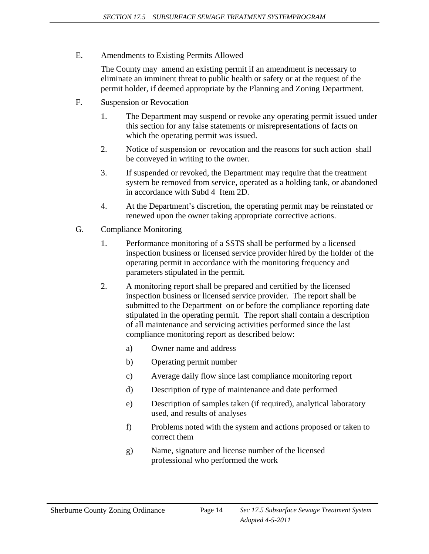E. Amendments to Existing Permits Allowed

 The County may amend an existing permit if an amendment is necessary to eliminate an imminent threat to public health or safety or at the request of the permit holder, if deemed appropriate by the Planning and Zoning Department.

- F. Suspension or Revocation
	- 1. The Department may suspend or revoke any operating permit issued under this section for any false statements or misrepresentations of facts on which the operating permit was issued.
	- 2. Notice of suspension or revocation and the reasons for such action shall be conveyed in writing to the owner.
	- 3. If suspended or revoked, the Department may require that the treatment system be removed from service, operated as a holding tank, or abandoned in accordance with Subd 4 Item 2D.
	- 4. At the Department's discretion, the operating permit may be reinstated or renewed upon the owner taking appropriate corrective actions.
- G. Compliance Monitoring
	- 1. Performance monitoring of a SSTS shall be performed by a licensed inspection business or licensed service provider hired by the holder of the operating permit in accordance with the monitoring frequency and parameters stipulated in the permit.
	- 2. A monitoring report shall be prepared and certified by the licensed inspection business or licensed service provider. The report shall be submitted to the Department on or before the compliance reporting date stipulated in the operating permit. The report shall contain a description of all maintenance and servicing activities performed since the last compliance monitoring report as described below:
		- a) Owner name and address
		- b) Operating permit number
		- c) Average daily flow since last compliance monitoring report
		- d) Description of type of maintenance and date performed
		- e) Description of samples taken (if required), analytical laboratory used, and results of analyses
		- f) Problems noted with the system and actions proposed or taken to correct them
		- g) Name, signature and license number of the licensed professional who performed the work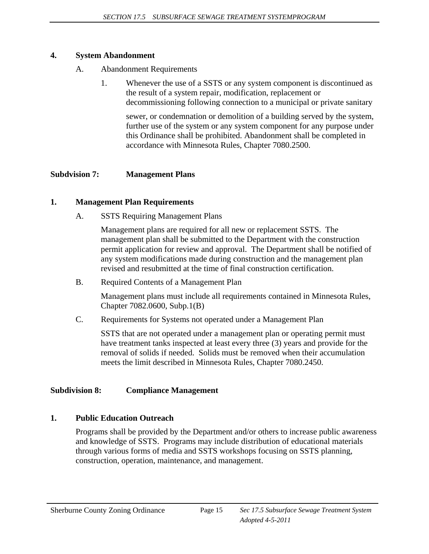#### **4. System Abandonment**

- A. Abandonment Requirements
	- 1. Whenever the use of a SSTS or any system component is discontinued as the result of a system repair, modification, replacement or decommissioning following connection to a municipal or private sanitary

 sewer, or condemnation or demolition of a building served by the system, further use of the system or any system component for any purpose under this Ordinance shall be prohibited. Abandonment shall be completed in accordance with Minnesota Rules, Chapter 7080.2500.

# **Subdvision 7: Management Plans**

#### **1. Management Plan Requirements**

A. SSTS Requiring Management Plans

 Management plans are required for all new or replacement SSTS. The management plan shall be submitted to the Department with the construction permit application for review and approval. The Department shall be notified of any system modifications made during construction and the management plan revised and resubmitted at the time of final construction certification.

B. Required Contents of a Management Plan

 Management plans must include all requirements contained in Minnesota Rules, Chapter 7082.0600, Subp.1(B)

C. Requirements for Systems not operated under a Management Plan

 SSTS that are not operated under a management plan or operating permit must have treatment tanks inspected at least every three (3) years and provide for the removal of solids if needed. Solids must be removed when their accumulation meets the limit described in Minnesota Rules, Chapter 7080.2450.

#### **Subdivision 8: Compliance Management**

#### **1. Public Education Outreach**

 Programs shall be provided by the Department and/or others to increase public awareness and knowledge of SSTS. Programs may include distribution of educational materials through various forms of media and SSTS workshops focusing on SSTS planning, construction, operation, maintenance, and management.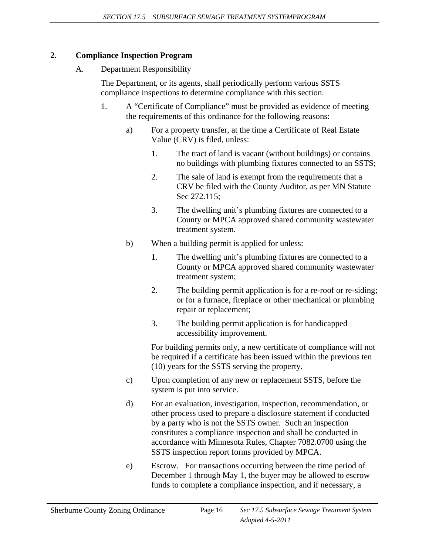# **2. Compliance Inspection Program**

A. Department Responsibility

 The Department, or its agents, shall periodically perform various SSTS compliance inspections to determine compliance with this section.

- 1. A "Certificate of Compliance" must be provided as evidence of meeting the requirements of this ordinance for the following reasons:
	- a) For a property transfer, at the time a Certificate of Real Estate Value (CRV) is filed, unless:
		- 1. The tract of land is vacant (without buildings) or contains no buildings with plumbing fixtures connected to an SSTS;
		- 2. The sale of land is exempt from the requirements that a CRV be filed with the County Auditor, as per MN Statute Sec 272.115;
		- 3. The dwelling unit's plumbing fixtures are connected to a County or MPCA approved shared community wastewater treatment system.
	- b) When a building permit is applied for unless:
		- 1. The dwelling unit's plumbing fixtures are connected to a County or MPCA approved shared community wastewater treatment system;
		- 2. The building permit application is for a re-roof or re-siding; or for a furnace, fireplace or other mechanical or plumbing repair or replacement;
		- 3. The building permit application is for handicapped accessibility improvement.

 For building permits only, a new certificate of compliance will not be required if a certificate has been issued within the previous ten (10) years for the SSTS serving the property.

- c) Upon completion of any new or replacement SSTS, before the system is put into service.
- d) For an evaluation, investigation, inspection, recommendation, or other process used to prepare a disclosure statement if conducted by a party who is not the SSTS owner. Such an inspection constitutes a compliance inspection and shall be conducted in accordance with Minnesota Rules, Chapter 7082.0700 using the SSTS inspection report forms provided by MPCA.
- e) Escrow. For transactions occurring between the time period of December 1 through May 1, the buyer may be allowed to escrow funds to complete a compliance inspection, and if necessary, a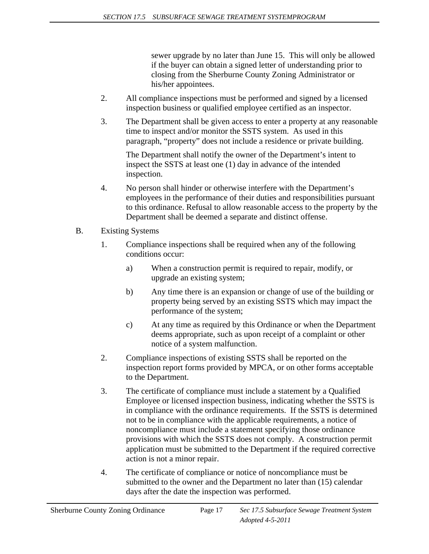sewer upgrade by no later than June 15. This will only be allowed if the buyer can obtain a signed letter of understanding prior to closing from the Sherburne County Zoning Administrator or his/her appointees.

- 2. All compliance inspections must be performed and signed by a licensed inspection business or qualified employee certified as an inspector.
- 3. The Department shall be given access to enter a property at any reasonable time to inspect and/or monitor the SSTS system. As used in this paragraph, "property" does not include a residence or private building.

 The Department shall notify the owner of the Department's intent to inspect the SSTS at least one (1) day in advance of the intended inspection.

- 4. No person shall hinder or otherwise interfere with the Department's employees in the performance of their duties and responsibilities pursuant to this ordinance. Refusal to allow reasonable access to the property by the Department shall be deemed a separate and distinct offense.
- B. Existing Systems
	- 1. Compliance inspections shall be required when any of the following conditions occur:
		- a) When a construction permit is required to repair, modify, or upgrade an existing system;
		- b) Any time there is an expansion or change of use of the building or property being served by an existing SSTS which may impact the performance of the system;
		- c) At any time as required by this Ordinance or when the Department deems appropriate, such as upon receipt of a complaint or other notice of a system malfunction.
	- 2. Compliance inspections of existing SSTS shall be reported on the inspection report forms provided by MPCA, or on other forms acceptable to the Department.
	- 3. The certificate of compliance must include a statement by a Qualified Employee or licensed inspection business, indicating whether the SSTS is in compliance with the ordinance requirements. If the SSTS is determined not to be in compliance with the applicable requirements, a notice of noncompliance must include a statement specifying those ordinance provisions with which the SSTS does not comply. A construction permit application must be submitted to the Department if the required corrective action is not a minor repair.
	- 4. The certificate of compliance or notice of noncompliance must be submitted to the owner and the Department no later than (15) calendar days after the date the inspection was performed.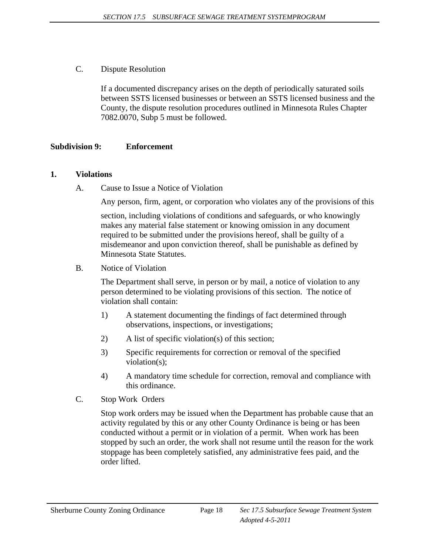C. Dispute Resolution

 If a documented discrepancy arises on the depth of periodically saturated soils between SSTS licensed businesses or between an SSTS licensed business and the County, the dispute resolution procedures outlined in Minnesota Rules Chapter 7082.0070, Subp 5 must be followed.

#### **Subdivision 9: Enforcement**

#### **1. Violations**

A. Cause to Issue a Notice of Violation

Any person, firm, agent, or corporation who violates any of the provisions of this

 section, including violations of conditions and safeguards, or who knowingly makes any material false statement or knowing omission in any document required to be submitted under the provisions hereof, shall be guilty of a misdemeanor and upon conviction thereof, shall be punishable as defined by Minnesota State Statutes.

B. Notice of Violation

 The Department shall serve, in person or by mail, a notice of violation to any person determined to be violating provisions of this section. The notice of violation shall contain:

- 1) A statement documenting the findings of fact determined through observations, inspections, or investigations;
- 2) A list of specific violation(s) of this section;
- 3) Specific requirements for correction or removal of the specified violation(s);
- 4) A mandatory time schedule for correction, removal and compliance with this ordinance.
- C. Stop Work Orders

 Stop work orders may be issued when the Department has probable cause that an activity regulated by this or any other County Ordinance is being or has been conducted without a permit or in violation of a permit. When work has been stopped by such an order, the work shall not resume until the reason for the work stoppage has been completely satisfied, any administrative fees paid, and the order lifted.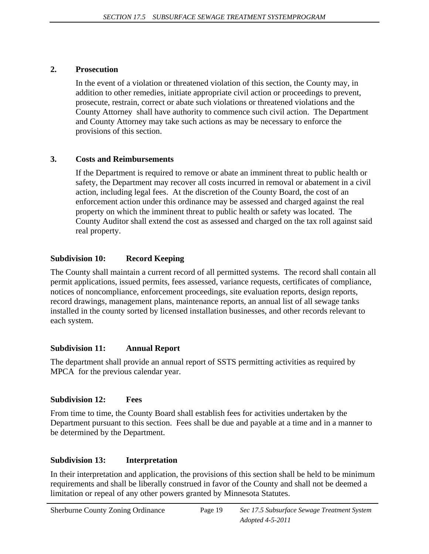### **2. Prosecution**

 In the event of a violation or threatened violation of this section, the County may, in addition to other remedies, initiate appropriate civil action or proceedings to prevent, prosecute, restrain, correct or abate such violations or threatened violations and the County Attorney shall have authority to commence such civil action. The Department and County Attorney may take such actions as may be necessary to enforce the provisions of this section.

# **3. Costs and Reimbursements**

 If the Department is required to remove or abate an imminent threat to public health or safety, the Department may recover all costs incurred in removal or abatement in a civil action, including legal fees. At the discretion of the County Board, the cost of an enforcement action under this ordinance may be assessed and charged against the real property on which the imminent threat to public health or safety was located. The County Auditor shall extend the cost as assessed and charged on the tax roll against said real property.

# **Subdivision 10: Record Keeping**

The County shall maintain a current record of all permitted systems. The record shall contain all permit applications, issued permits, fees assessed, variance requests, certificates of compliance, notices of noncompliance, enforcement proceedings, site evaluation reports, design reports, record drawings, management plans, maintenance reports, an annual list of all sewage tanks installed in the county sorted by licensed installation businesses, and other records relevant to each system.

# **Subdivision 11: Annual Report**

The department shall provide an annual report of SSTS permitting activities as required by MPCA for the previous calendar year.

# **Subdivision 12: Fees**

From time to time, the County Board shall establish fees for activities undertaken by the Department pursuant to this section. Fees shall be due and payable at a time and in a manner to be determined by the Department.

# **Subdivision 13: Interpretation**

In their interpretation and application, the provisions of this section shall be held to be minimum requirements and shall be liberally construed in favor of the County and shall not be deemed a limitation or repeal of any other powers granted by Minnesota Statutes.